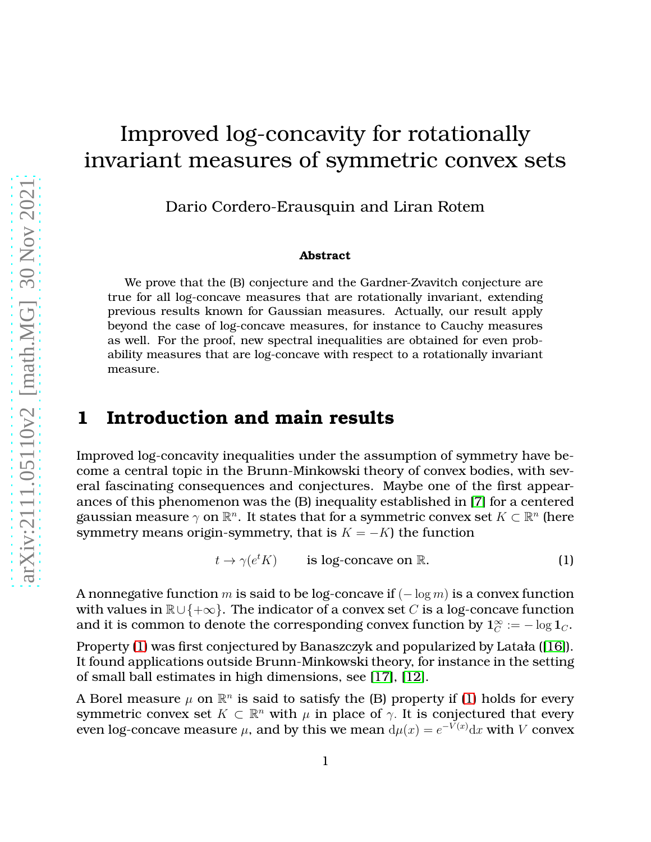# Improved log-concavity for rotationally invariant measures of symmetric convex sets

Dario Cordero-Erausquin and Liran Rotem

#### **Abstract**

We prove that the (B) conjecture and the Gardner-Zvavitch conjecture are true for all log-concave measures that are rotationally invariant, extending previous results known for Gaussian measures. Actually, our result apply beyond the case of log-concave measures, for instance to Cauchy measures as well. For the proof, new spectral inequalities are obtained for even probability measures that are log-concave with respect to a rotationally invariant measure.

### **1 Introduction and main results**

Improved log-concavity inequalities under the assumption of symmetry have become a central topic in the Brunn-Minkowski theory of convex bodies, with several fascinating consequences and conjectures. Maybe one of the first appearances of this phenomenon was the (B) inequality established in [\[7\]](#page-19-0) for a centered gaussian measure  $\gamma$  on  $\mathbb{R}^n$ . It states that for a symmetric convex set  $K\subset \mathbb{R}^n$  (here symmetry means origin-symmetry, that is  $K = -K$ ) the function

<span id="page-0-0"></span>
$$
t \to \gamma(e^t K) \qquad \text{is log-concave on } \mathbb{R}.
$$
 (1)

A nonnegative function m is said to be log-concave if  $(-\log m)$  is a convex function with values in  $\mathbb{R}\cup\{+\infty\}$ . The indicator of a convex set C is a log-concave function and it is common to denote the corresponding convex function by  $1_C^{\infty}:=-\log 1_C.$ 

Property [\(1\)](#page-0-0) was first conjectured by Banaszczyk and popularized by Latała ([\[16\]](#page-20-0)). It found applications outside Brunn-Minkowski theory, for instance in the setting of small ball estimates in high dimensions, see [\[17\]](#page-20-1), [\[12\]](#page-19-1).

A Borel measure  $\mu$  on  $\mathbb{R}^n$  is said to satisfy the (B) property if [\(1\)](#page-0-0) holds for every symmetric convex set  $K \subset \mathbb{R}^n$  with  $\mu$  in place of  $\gamma$ . It is conjectured that every even log-concave measure  $\mu$ , and by this we mean  $\mathrm{d}\mu(x) = e^{-V(x)}\mathrm{d}x$  with  $V$  convex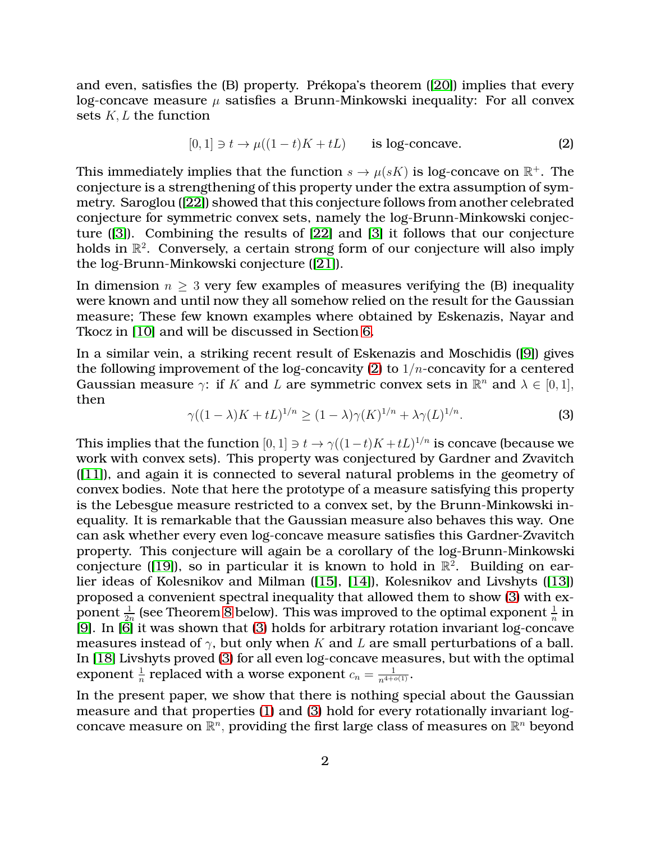and even, satisfies the (B) property. Prékopa's theorem ([\[20\]](#page-20-2)) implies that every log-concave measure  $\mu$  satisfies a Brunn-Minkowski inequality: For all convex sets K, L the function

<span id="page-1-0"></span>
$$
[0,1] \ni t \to \mu((1-t)K + tL) \qquad \text{is log-concave.} \tag{2}
$$

This immediately implies that the function  $s \to \mu(sK)$  is log-concave on  $\mathbb{R}^+$ . The conjecture is a strengthening of this property under the extra assumption of symmetry. Saroglou ([\[22\]](#page-20-3)) showed that this conjecture follows from another celebrated conjecture for symmetric convex sets, namely the log-Brunn-Minkowski conjecture ([\[3\]](#page-19-2)). Combining the results of [\[22\]](#page-20-3) and [\[3\]](#page-19-2) it follows that our conjecture holds in  $\mathbb{R}^2$ . Conversely, a certain strong form of our conjecture will also imply the log-Brunn-Minkowski conjecture ([\[21\]](#page-20-4)).

In dimension  $n \geq 3$  very few examples of measures verifying the (B) inequality were known and until now they all somehow relied on the result for the Gaussian measure; These few known examples where obtained by Eskenazis, Nayar and Tkocz in [\[10\]](#page-19-3) and will be discussed in Section [6.](#page-17-0)

In a similar vein, a striking recent result of Eskenazis and Moschidis ([\[9\]](#page-19-4)) gives the following improvement of the log-concavity [\(2\)](#page-1-0) to  $1/n$ -concavity for a centered Gaussian measure  $\gamma$ : if K and L are symmetric convex sets in  $\mathbb{R}^n$  and  $\lambda \in [0,1],$ then

<span id="page-1-1"></span>
$$
\gamma((1-\lambda)K + tL)^{1/n} \ge (1-\lambda)\gamma(K)^{1/n} + \lambda\gamma(L)^{1/n}.
$$
 (3)

This implies that the function  $[0,1] \ni t \to \gamma((1-t)K+tL)^{1/n}$  is concave (because we work with convex sets). This property was conjectured by Gardner and Zvavitch ([\[11\]](#page-19-5)), and again it is connected to several natural problems in the geometry of convex bodies. Note that here the prototype of a measure satisfying this property is the Lebesgue measure restricted to a convex set, by the Brunn-Minkowski inequality. It is remarkable that the Gaussian measure also behaves this way. One can ask whether every even log-concave measure satisfies this Gardner-Zvavitch property. This conjecture will again be a corollary of the log-Brunn-Minkowski conjecture ([\[19\]](#page-20-5)), so in particular it is known to hold in  $\mathbb{R}^2$ . Building on earlier ideas of Kolesnikov and Milman ([\[15\]](#page-20-6), [\[14\]](#page-20-7)), Kolesnikov and Livshyts ([\[13\]](#page-20-8)) proposed a convenient spectral inequality that allowed them to show [\(3\)](#page-1-1) with exponent  $\frac{1}{2n}$  (see Theorem [8](#page-15-0) below). This was improved to the optimal exponent  $\frac{1}{n}$  in [\[9\]](#page-19-4). In [\[6\]](#page-19-6) it was shown that [\(3\)](#page-1-1) holds for arbitrary rotation invariant log-concave measures instead of  $\gamma$ , but only when K and L are small perturbations of a ball. In [\[18\]](#page-20-9) Livshyts proved [\(3\)](#page-1-1) for all even log-concave measures, but with the optimal exponent  $\frac{1}{n}$  replaced with a worse exponent  $c_n = \frac{1}{n^{4+o(1)}}$ .

In the present paper, we show that there is nothing special about the Gaussian measure and that properties [\(1\)](#page-0-0) and [\(3\)](#page-1-1) hold for every rotationally invariant logconcave measure on  $\mathbb{R}^n$ , providing the first large class of measures on  $\mathbb{R}^n$  beyond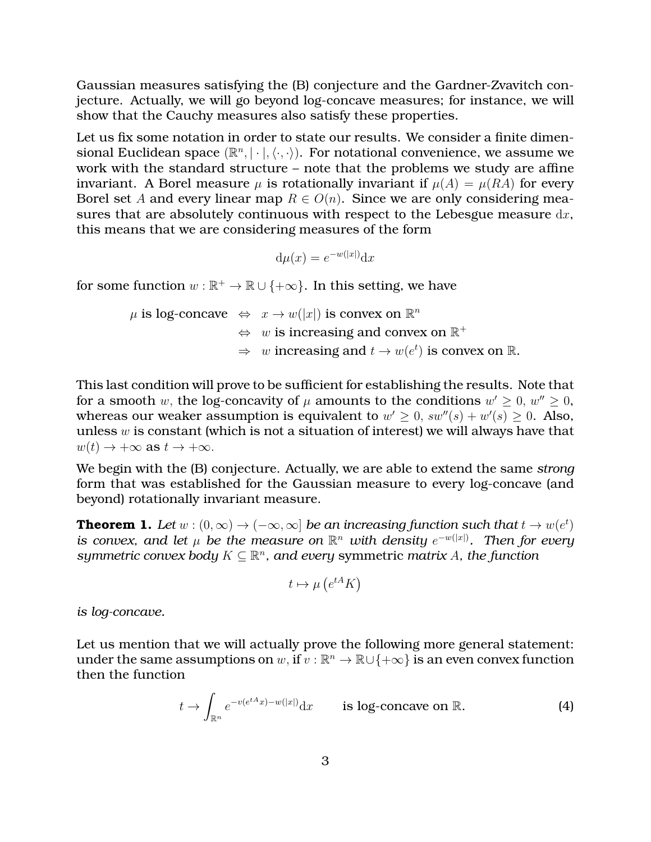Gaussian measures satisfying the (B) conjecture and the Gardner-Zvavitch conjecture. Actually, we will go beyond log-concave measures; for instance, we will show that the Cauchy measures also satisfy these properties.

Let us fix some notation in order to state our results. We consider a finite dimensional Euclidean space  $(\mathbb{R}^n, |\cdot|, \langle \cdot, \cdot \rangle)$ . For notational convenience, we assume we work with the standard structure – note that the problems we study are affine invariant. A Borel measure  $\mu$  is rotationally invariant if  $\mu(A) = \mu(RA)$  for every Borel set A and every linear map  $R \in O(n)$ . Since we are only considering measures that are absolutely continuous with respect to the Lebesgue measure  $dx$ , this means that we are considering measures of the form

$$
d\mu(x) = e^{-w(|x|)}dx
$$

for some function  $w : \mathbb{R}^+ \to \mathbb{R} \cup \{+\infty\}$ . In this setting, we have

 $\mu$  is log-concave  $\iff x \to w(|x|)$  is convex on  $\mathbb{R}^n$  $\Leftrightarrow$  w is increasing and convex on  $\mathbb{R}^+$  $\Rightarrow w$  increasing and  $t \to w(e^t)$  is convex on  $\mathbb{R}$ .

This last condition will prove to be sufficient for establishing the results. Note that for a smooth w, the log-concavity of  $\mu$  amounts to the conditions  $w' \geq 0$ ,  $w'' \geq 0$ , whereas our weaker assumption is equivalent to  $w' \geq 0$ ,  $sw''(s) + w'(s) \geq 0$ . Also, unless  $w$  is constant (which is not a situation of interest) we will always have that  $w(t) \rightarrow +\infty$  as  $t \rightarrow +\infty$ .

We begin with the (B) conjecture. Actually, we are able to extend the same *strong* form that was established for the Gaussian measure to every log-concave (and beyond) rotationally invariant measure.

<span id="page-2-1"></span>**Theorem 1.** *Let*  $w : (0, \infty) \to (-\infty, \infty]$  *be an increasing function such that*  $t \to w(e^t)$ *is convex, and let*  $\mu$  *be the measure on*  $\mathbb{R}^n$  *with density*  $e^{-w(|x|)}$ *. Then for every*  $symmetric \ convex \ body \ K \subseteq \mathbb{R}^n$ , and every symmetric *matrix* A, the function

$$
t \mapsto \mu\left(e^{tA}K\right)
$$

*is log-concave.*

Let us mention that we will actually prove the following more general statement: under the same assumptions on  $w$ , if  $v : \mathbb{R}^n \to \mathbb{R} \cup \{+\infty\}$  is an even convex function then the function

<span id="page-2-0"></span>
$$
t \to \int_{\mathbb{R}^n} e^{-v(e^{tA}x) - w(|x|)} dx \qquad \text{is log-concave on } \mathbb{R}.
$$
 (4)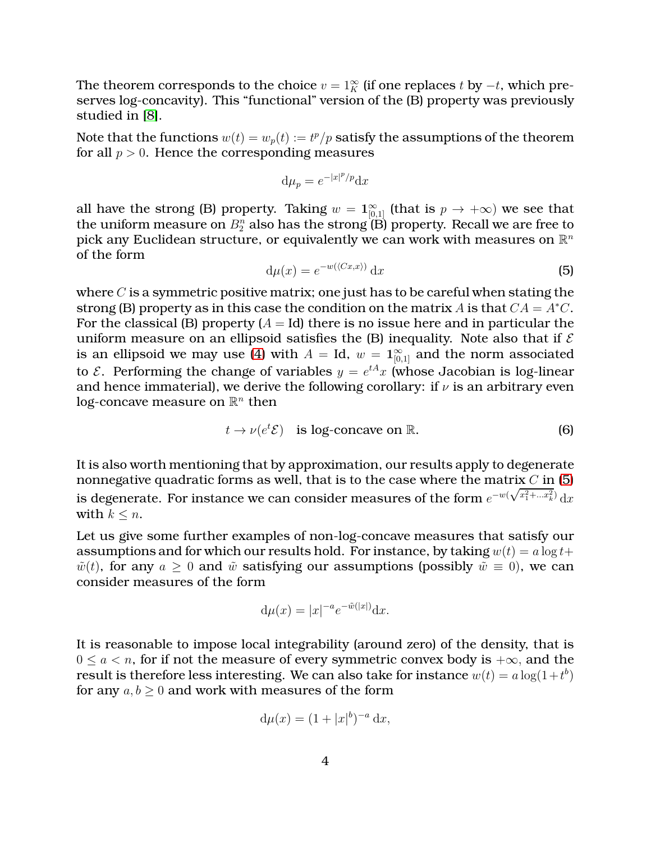The theorem corresponds to the choice  $v = 1_K^{\infty}$  (if one replaces t by  $-t$ , which preserves log-concavity). This "functional" version of the (B) property was previously studied in [\[8\]](#page-19-7).

Note that the functions  $w(t) = w_p(t) := t^p/p$  satisfy the assumptions of the theorem for all  $p > 0$ . Hence the corresponding measures

$$
\mathrm{d}\mu_p = e^{-|x|^p/p}\mathrm{d}x
$$

all have the strong (B) property. Taking  $w = 1^{\infty}_{[0,1]}$  (that is  $p \to +\infty$ ) we see that the uniform measure on  $B^n_2$  also has the strong  $(\mathrm{B})$  property. Recall we are free to pick any Euclidean structure, or equivalently we can work with measures on  $\mathbb{R}^n$ of the form

<span id="page-3-0"></span>
$$
d\mu(x) = e^{-w(\langle Cx, x \rangle)} dx \tag{5}
$$

where  $C$  is a symmetric positive matrix; one just has to be careful when stating the strong (B) property as in this case the condition on the matrix A is that  $CA = A^*C$ . For the classical (B) property  $(A = Id)$  there is no issue here and in particular the uniform measure on an ellipsoid satisfies the (B) inequality. Note also that if  $\mathcal E$ is an ellipsoid we may use [\(4\)](#page-2-0) with  $A = Id$ ,  $w = 1^{\infty}_{[0,1]}$  and the norm associated to  $\mathcal{E}$ . Performing the change of variables  $y = e^{tA}x$  (whose Jacobian is log-linear and hence immaterial), we derive the following corollary: if  $\nu$  is an arbitrary even  $\log$ -concave measure on  $\mathbb{R}^n$  then

$$
t \to \nu(e^t \mathcal{E}) \quad \text{is log-concave on } \mathbb{R}.\tag{6}
$$

It is also worth mentioning that by approximation, our results apply to degenerate nonnegative quadratic forms as well, that is to the case where the matrix  $C$  in [\(5\)](#page-3-0) is degenerate. For instance we can consider measures of the form  $e^{-w(\sqrt{x_1^2+...x_k^2})} dx$ with  $k \leq n$ .

Let us give some further examples of non-log-concave measures that satisfy our assumptions and for which our results hold. For instance, by taking  $w(t) = a \log t +$  $\tilde{w}(t)$ , for any  $a \geq 0$  and  $\tilde{w}$  satisfying our assumptions (possibly  $\tilde{w} \equiv 0$ ), we can consider measures of the form

$$
\mathrm{d}\mu(x) = |x|^{-a} e^{-\tilde{w}(|x|)} \mathrm{d}x.
$$

It is reasonable to impose local integrability (around zero) of the density, that is  $0 \le a < n$ , for if not the measure of every symmetric convex body is  $+\infty$ , and the result is therefore less interesting. We can also take for instance  $w(t) = a \log(1+t^b)$ for any  $a, b \geq 0$  and work with measures of the form

$$
\mathrm{d}\mu(x) = (1+|x|^b)^{-a} \,\mathrm{d}x,
$$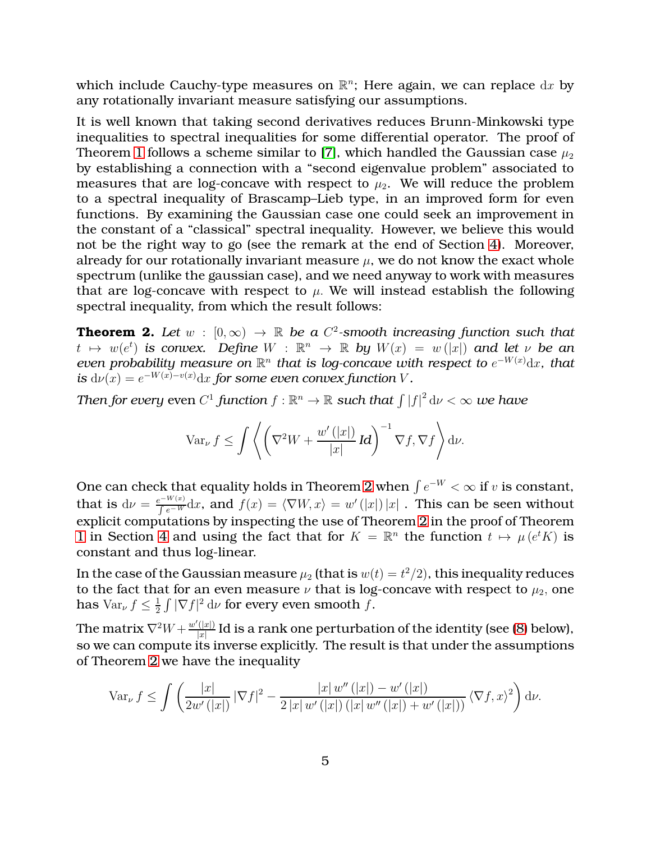which include Cauchy-type measures on  $\mathbb{R}^n$ ; Here again, we can replace  $\mathrm{d} x$  by any rotationally invariant measure satisfying our assumptions.

It is well known that taking second derivatives reduces Brunn-Minkowski type inequalities to spectral inequalities for some differential operator. The proof of Theorem [1](#page-2-1) follows a scheme similar to [\[7\]](#page-19-0), which handled the Gaussian case  $\mu_2$ by establishing a connection with a "second eigenvalue problem" associated to measures that are log-concave with respect to  $\mu_2$ . We will reduce the problem to a spectral inequality of Brascamp–Lieb type, in an improved form for even functions. By examining the Gaussian case one could seek an improvement in the constant of a "classical" spectral inequality. However, we believe this would not be the right way to go (see the remark at the end of Section [4\)](#page-13-0). Moreover, already for our rotationally invariant measure  $\mu$ , we do not know the exact whole spectrum (unlike the gaussian case), and we need anyway to work with measures that are log-concave with respect to  $\mu$ . We will instead establish the following spectral inequality, from which the result follows:

<span id="page-4-0"></span>**Theorem 2.** Let  $w : [0, \infty) \to \mathbb{R}$  be a  $C^2$ -smooth increasing function such that  $t \mapsto w(e^t)$  is convex. Define  $W : \mathbb{R}^n \to \mathbb{R}$  by  $W(x) = w(|x|)$  and let  $\nu$  be an *even probability measure on*  $\mathbb{R}^n$  *that is log-concave with respect to*  $e^{-W(x)}\mathrm{d}x$ *, that is*  $d\nu(x) = e^{-W(x)-v(x)}dx$  *for some even convex function* V.

Then for every even  $C^1$  function  $f:\mathbb{R}^n\to\mathbb{R}$  such that  $\int|f|^2\,\mathrm{d}\nu<\infty$  we have

$$
\operatorname{Var}_{\nu} f \leq \int \left\langle \left( \nabla^2 W + \frac{w'(|x|)}{|x|} \operatorname{Id} \right)^{-1} \nabla f, \nabla f \right\rangle d\nu.
$$

One can check that equality holds in Theorem [2](#page-4-0) when  $\int e^{-W} < \infty$  if v is constant, that is  $d\nu = \frac{e^{-W(x)}}{\int e^{-W(x)}}$  $\frac{e^{-W(x)}}{\int e^{-W}} \mathrm{d} x$ , and  $f(x) = \langle \nabla W, x \rangle = w'(|x|) \, |x|$  . This can be seen without explicit computations by inspecting the use of Theorem [2](#page-4-0) in the proof of Theorem [1](#page-2-1) in Section [4](#page-13-0) and using the fact that for  $K = \mathbb{R}^n$  the function  $t \mapsto \mu(e^t K)$  is constant and thus log-linear.

In the case of the Gaussian measure  $\mu_2$  (that is  $w(t)=t^2/2)$ , this inequality reduces to the fact that for an even measure  $\nu$  that is log-concave with respect to  $\mu_2$ , one has  $\text{Var}_{\nu} f \leq \frac{1}{2}$  $\frac{1}{2} \int |\nabla f|^2 \, \mathrm{d}\nu$  for every even smooth f.

The matrix  $\nabla^2 W + \frac{w'(|x|)}{|x|}$  $\frac{(|x|)}{|x|}$  Id is a rank one perturbation of the identity (see [\(8\)](#page-11-0) below), so we can compute its inverse explicitly. The result is that under the assumptions of Theorem [2](#page-4-0) we have the inequality

$$
\operatorname{Var}_{\nu} f \le \int \left( \frac{|x|}{2w'(|x|)} |\nabla f|^2 - \frac{|x| w''(|x|) - w'(|x|)}{2|x| w'(|x|) (|x| w''(|x|) + w'(|x|))} \langle \nabla f, x \rangle^2 \right) d\nu.
$$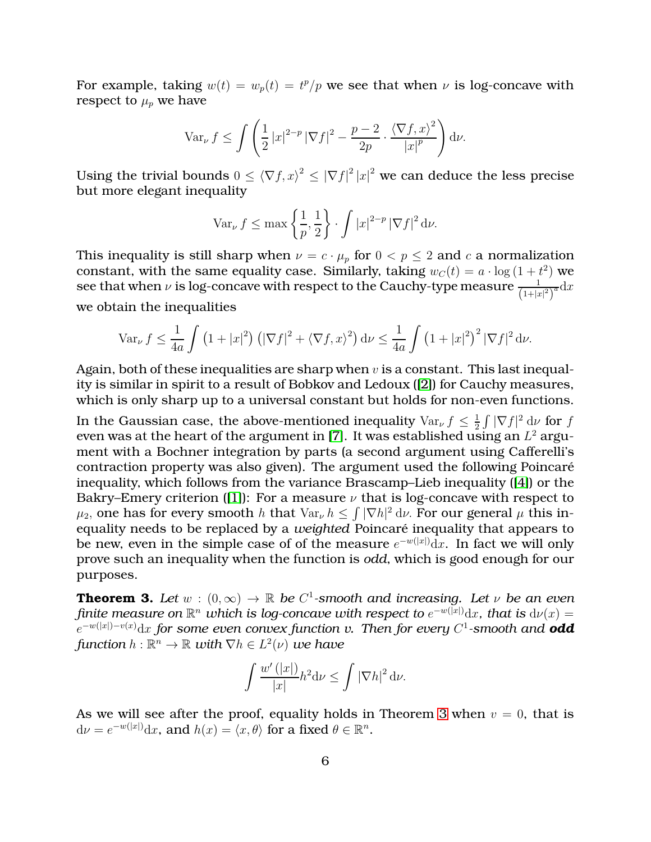For example, taking  $w(t) = w_p(t) = t^p/p$  we see that when  $\nu$  is log-concave with respect to  $\mu_p$  we have

$$
\operatorname{Var}_{\nu} f \le \int \left( \frac{1}{2} |x|^{2-p} |\nabla f|^2 - \frac{p-2}{2p} \cdot \frac{\langle \nabla f, x \rangle^2}{|x|^p} \right) d\nu.
$$

Using the trivial bounds  $0 \leq \langle \nabla f, x \rangle^2 \leq |\nabla f|^2 |x|^2$  we can deduce the less precise but more elegant inequality

$$
\text{Var}_{\nu} f \le \max\left\{\frac{1}{p}, \frac{1}{2}\right\} \cdot \int |x|^{2-p} |\nabla f|^2 \, \mathrm{d}\nu.
$$

This inequality is still sharp when  $\nu = c \cdot \mu_p$  for  $0 < p \leq 2$  and c a normalization constant, with the same equality case. Similarly, taking  $w_C(t) = a \cdot \log(1 + t^2)$  we see that when  $\nu$  is log-concave with respect to the Cauchy-type measure  $\frac{1}{\left(1+|x|^2\right)^a}\mathrm{d}x$ we obtain the inequalities

$$
\operatorname{Var}_{\nu} f \le \frac{1}{4a} \int \left(1+|x|^2\right) \left(|\nabla f|^2 + \langle \nabla f, x \rangle^2\right) d\nu \le \frac{1}{4a} \int \left(1+|x|^2\right)^2 |\nabla f|^2 d\nu.
$$

Again, both of these inequalities are sharp when  $v$  is a constant. This last inequality is similar in spirit to a result of Bobkov and Ledoux ([\[2\]](#page-19-8)) for Cauchy measures, which is only sharp up to a universal constant but holds for non-even functions.

In the Gaussian case, the above-mentioned inequality  $Var_{\nu} f \leq \frac{1}{2}$  $\frac{1}{2} \int |\nabla f|^2 \, d\nu$  for f even was at the heart of the argument in [\[7\]](#page-19-0). It was established using an  $L^2$  argument with a Bochner integration by parts (a second argument using Cafferelli's contraction property was also given). The argument used the following Poincaré inequality, which follows from the variance Brascamp–Lieb inequality ([\[4\]](#page-19-9)) or the Bakry–Emery criterion ([\[1\]](#page-18-0)): For a measure  $\nu$  that is log-concave with respect to  $\mu_2$ , one has for every smooth h that  $\text{Var}_{\nu} h \leq \int |\nabla h|^2 d\nu$ . For our general  $\mu$  this inequality needs to be replaced by a *weighted* Poincaré inequality that appears to be new, even in the simple case of of the measure  $e^{-w(|x|)}{\rm d} x.$  In fact we will only prove such an inequality when the function is *odd*, which is good enough for our purposes.

<span id="page-5-0"></span>**Theorem 3.** *Let*  $w : (0, \infty) \to \mathbb{R}$  *be*  $C^1$ -smooth and increasing. Let  $v$  *be an even finite measure on*  $\mathbb{R}^n$  *which is log-concave with respect to*  $e^{-w(|x|)}dx$ *, that is*  $d\nu(x) =$ e <sup>−</sup>w(|x|)−v(x)dx *for some even convex function v. Then for every* C 1 *-smooth and odd*  $\text{function } h: \mathbb{R}^n \to \mathbb{R} \text{ with } \nabla h \in L^2(\nu) \text{ we have }$ 

$$
\int \frac{w'(|x|)}{|x|} h^2 \mathrm{d} \nu \le \int |\nabla h|^2 \, \mathrm{d} \nu.
$$

As we will see after the proof, equality holds in Theorem [3](#page-5-0) when  $v = 0$ , that is  $d\nu = e^{-w(|x|)}dx$ , and  $h(x) = \langle x, \theta \rangle$  for a fixed  $\theta \in \mathbb{R}^n$ .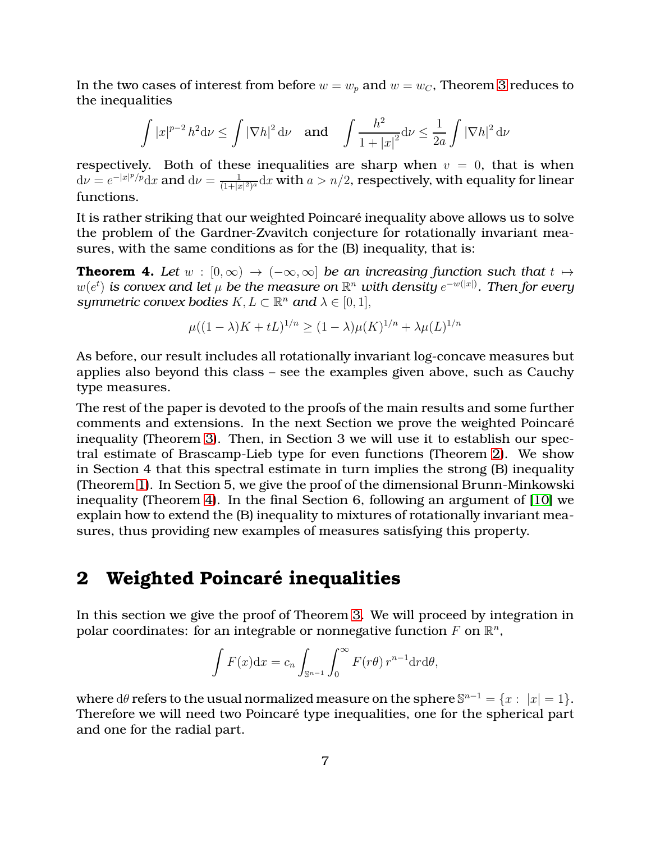In the two cases of interest from before  $w = w_p$  and  $w = w_c$ , Theorem [3](#page-5-0) reduces to the inequalities

$$
\int |x|^{p-2} h^2 \mathrm{d} \nu \le \int |\nabla h|^2 \, \mathrm{d} \nu \quad \text{and} \quad \int \frac{h^2}{1+|x|^2} \mathrm{d} \nu \le \frac{1}{2a} \int |\nabla h|^2 \, \mathrm{d} \nu
$$

respectively. Both of these inequalities are sharp when  $v = 0$ , that is when  $d\nu = e^{-|x|^p/p}dx$  and  $d\nu = \frac{1}{(1+|x|^p)}$  $\frac{1}{(1+|x|^2)^a}$ d $x$  with  $a>n/2$ , respectively, with equality for linear functions.

It is rather striking that our weighted Poincaré inequality above allows us to solve the problem of the Gardner-Zvavitch conjecture for rotationally invariant measures, with the same conditions as for the (B) inequality, that is:

<span id="page-6-0"></span>**Theorem 4.** Let  $w : [0, \infty) \to (-\infty, \infty]$  be an increasing function such that  $t \mapsto$  $w(e^t)$  is convex and let  $\mu$  be the measure on  $\mathbb{R}^n$  with density  $e^{-w(|x|)}$ . Then for every *symmetric convex bodies*  $K, L \subset \mathbb{R}^n$  *and*  $\lambda \in [0, 1],$ 

$$
\mu((1 - \lambda)K + tL)^{1/n} \ge (1 - \lambda)\mu(K)^{1/n} + \lambda\mu(L)^{1/n}
$$

As before, our result includes all rotationally invariant log-concave measures but applies also beyond this class – see the examples given above, such as Cauchy type measures.

The rest of the paper is devoted to the proofs of the main results and some further comments and extensions. In the next Section we prove the weighted Poincaré inequality (Theorem [3\)](#page-5-0). Then, in Section 3 we will use it to establish our spectral estimate of Brascamp-Lieb type for even functions (Theorem [2\)](#page-4-0). We show in Section 4 that this spectral estimate in turn implies the strong (B) inequality (Theorem [1\)](#page-2-1). In Section 5, we give the proof of the dimensional Brunn-Minkowski inequality (Theorem [4\)](#page-6-0). In the final Section 6, following an argument of [\[10\]](#page-19-3) we explain how to extend the (B) inequality to mixtures of rotationally invariant measures, thus providing new examples of measures satisfying this property.

#### **2 Weighted Poincaré inequalities**

In this section we give the proof of Theorem [3.](#page-5-0) We will proceed by integration in polar coordinates: for an integrable or nonnegative function  $F$  on  $\mathbb{R}^n,$ 

$$
\int F(x)dx = c_n \int_{\mathbb{S}^{n-1}} \int_0^\infty F(r\theta) r^{n-1} dr d\theta,
$$

where  $d\theta$  refers to the usual normalized measure on the sphere  $\mathbb{S}^{n-1} = \{x : |x| = 1\}.$ Therefore we will need two Poincaré type inequalities, one for the spherical part and one for the radial part.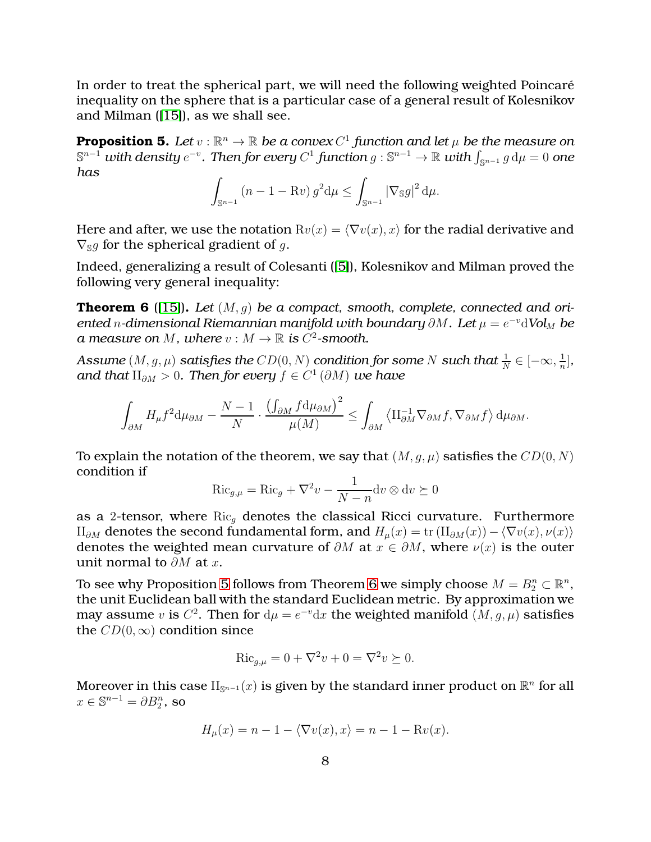In order to treat the spherical part, we will need the following weighted Poincaré inequality on the sphere that is a particular case of a general result of Kolesnikov and Milman ([\[15\]](#page-20-6)), as we shall see.

<span id="page-7-0"></span>**Proposition 5.** Let  $v : \mathbb{R}^n \to \mathbb{R}$  be a convex  $C^1$  function and let  $\mu$  be the measure on  $\mathbb{S}^{n-1}$  *with density*  $e^{-v}$ *. Then for every*  $C^1$  *function*  $g : \mathbb{S}^{n-1} \to \mathbb{R}$  *with*  $\int_{\mathbb{S}^{n-1}} g \, \mathrm{d} \mu = 0$  *one has*

$$
\int_{\mathbb{S}^{n-1}} (n-1-\mathrm{R}v) g^2 \mathrm{d}\mu \le \int_{\mathbb{S}^{n-1}} |\nabla_{\mathbb{S}}g|^2 \mathrm{d}\mu.
$$

Here and after, we use the notation  $Rv(x) = \langle \nabla v(x), x \rangle$  for the radial derivative and  $\nabla_{\mathbb{S}}g$  for the spherical gradient of g.

Indeed, generalizing a result of Colesanti ([\[5\]](#page-19-10)), Kolesnikov and Milman proved the following very general inequality:

<span id="page-7-1"></span>**Theorem 6** ([\[15\]](#page-20-6))**.** *Let* (M, g) *be a compact, smooth, complete, connected and oriented* n-dimensional Riemannian manifold with boundary  $\partial M$ . Let  $\mu = e^{-v}\mathrm{dVol}_M$  be *a* measure on M, where  $v : M \to \mathbb{R}$  is  $C^2$ -smooth.

 $\textit{Assume}\ (M,g,\mu)\ \textit{satisfies the}\ CD(0,N)\ \textit{condition for some}\ N\ \textit{such that}\ \frac{1}{N}\in [-\infty,\frac{1}{n}]$  $\frac{1}{n}$ , and that  $\Pi_{\partial M}>0$ . Then for every  $f\in C^1\left(\partial M\right)$  we have

$$
\int_{\partial M} H_{\mu} f^2 \mathrm{d} \mu_{\partial M} - \frac{N-1}{N} \cdot \frac{\left(\int_{\partial M} f \mathrm{d} \mu_{\partial M}\right)^2}{\mu(M)} \le \int_{\partial M} \left\langle \mathrm{II}_{\partial M}^{-1} \nabla_{\partial M} f, \nabla_{\partial M} f \right\rangle \mathrm{d} \mu_{\partial M}.
$$

To explain the notation of the theorem, we say that  $(M, q, \mu)$  satisfies the  $CD(0, N)$ condition if

$$
\operatorname{Ric}_{g,\mu} = \operatorname{Ric}_g + \nabla^2 v - \frac{1}{N - n} \operatorname{d} v \otimes \operatorname{d} v \succeq 0
$$

as a 2-tensor, where  $\text{Ric}_q$  denotes the classical Ricci curvature. Furthermore II<sub>∂M</sub> denotes the second fundamental form, and  $H_u(x) = \text{tr}(\Pi_{\partial M}(x)) - \langle \nabla v(x), \nu(x) \rangle$ denotes the weighted mean curvature of  $\partial M$  at  $x \in \partial M$ , where  $\nu(x)$  is the outer unit normal to  $\partial M$  at x.

To see why Proposition [5](#page-7-0) follows from Theorem [6](#page-7-1) we simply choose  $M = B_2^n \subset \mathbb{R}^n$ , the unit Euclidean ball with the standard Euclidean metric. By approximation we may assume v is  $C^2$ . Then for  $d\mu = e^{-v}dx$  the weighted manifold  $(M, g, \mu)$  satisfies the  $CD(0, \infty)$  condition since

$$
Ric_{g,\mu} = 0 + \nabla^2 v + 0 = \nabla^2 v \succeq 0.
$$

Moreover in this case  $\overline{\Pi_{\mathbb{S}^{n-1}}(x)}$  is given by the standard inner product on  $\mathbb{R}^n$  for all  $x \in \mathbb{S}^{n-1} = \partial B_2^n$ , so

$$
H_{\mu}(x) = n - 1 - \langle \nabla v(x), x \rangle = n - 1 - \text{R}v(x).
$$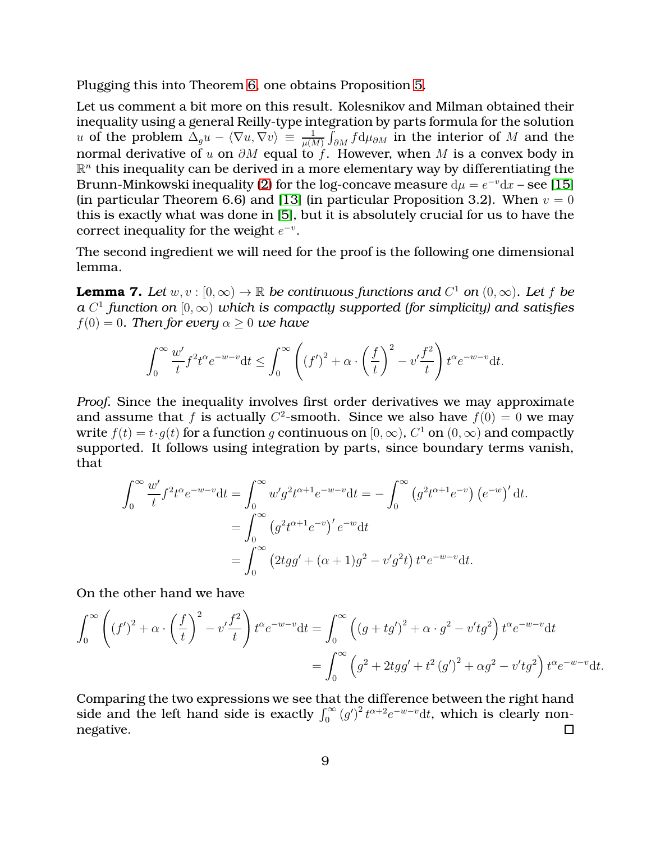Plugging this into Theorem [6,](#page-7-1) one obtains Proposition [5.](#page-7-0)

Let us comment a bit more on this result. Kolesnikov and Milman obtained their inequality using a general Reilly-type integration by parts formula for the solution  $u$  of the problem  $\Delta_g u - \langle \nabla u, \nabla v \rangle \, \equiv \, \frac{1}{\mu(M)} \int_{\partial M} f \mathrm{d} \mu_{\partial M}$  in the interior of  $M$  and the normal derivative of u on  $\partial M$  equal to f. However, when M is a convex body in  $\mathbb{R}^n$  this inequality can be derived in a more elementary way by differentiating the Brunn-Minkowski inequality [\(2\)](#page-1-0) for the log-concave measure  $d\mu = e^{-v}dx$  – see [\[15\]](#page-20-6) (in particular Theorem 6.6) and [\[13\]](#page-20-8) (in particular Proposition 3.2). When  $v = 0$ this is exactly what was done in [\[5\]](#page-19-10), but it is absolutely crucial for us to have the correct inequality for the weight  $e^{-v}$ .

The second ingredient we will need for the proof is the following one dimensional lemma.

<span id="page-8-0"></span>**Lemma 7.** Let  $w, v : [0, \infty) \to \mathbb{R}$  be continuous functions and  $C^1$  on  $(0, \infty)$ . Let f be *a*  $C^1$  function on  $[0,\infty)$  which is compactly supported (for simplicity) and satisfies  $f(0) = 0$ . Then for every  $\alpha > 0$  we have

$$
\int_0^\infty \frac{w'}{t} f^2 t^\alpha e^{-w-v} dt \le \int_0^\infty \left( (f')^2 + \alpha \cdot \left( \frac{f}{t} \right)^2 - v' \frac{f^2}{t} \right) t^\alpha e^{-w-v} dt.
$$

*Proof.* Since the inequality involves first order derivatives we may approximate and assume that f is actually  $C^2$ -smooth. Since we also have  $f(0) = 0$  we may write  $f(t) = t \cdot g(t)$  for a function  $g$  continuous on  $[0, \infty)$ ,  $C^1$  on  $(0, \infty)$  and compactly supported. It follows using integration by parts, since boundary terms vanish, that

$$
\int_0^{\infty} \frac{w'}{t} f^2 t^{\alpha} e^{-w-v} dt = \int_0^{\infty} w' g^2 t^{\alpha+1} e^{-w-v} dt = -\int_0^{\infty} (g^2 t^{\alpha+1} e^{-v}) (e^{-w})' dt.
$$
  
= 
$$
\int_0^{\infty} (g^2 t^{\alpha+1} e^{-v})' e^{-w} dt
$$
  
= 
$$
\int_0^{\infty} (2tgg' + (\alpha+1)g^2 - v'g^2 t) t^{\alpha} e^{-w-v} dt.
$$

On the other hand we have

$$
\int_0^{\infty} \left( (f')^2 + \alpha \cdot \left( \frac{f}{t} \right)^2 - v' \frac{f^2}{t} \right) t^{\alpha} e^{-w-v} dt = \int_0^{\infty} \left( (g + tg')^2 + \alpha \cdot g^2 - v'tg^2 \right) t^{\alpha} e^{-w-v} dt
$$
  
= 
$$
\int_0^{\infty} \left( g^2 + 2tgg' + t^2 (g')^2 + \alpha g^2 - v'tg^2 \right) t^{\alpha} e^{-w-v} dt.
$$

Comparing the two expressions we see that the difference between the right hand side and the left hand side is exactly  $\int_0^\infty (g')^2 t^{\alpha+2} e^{-w-v} dt$ , which is clearly nonnegative.  $\Box$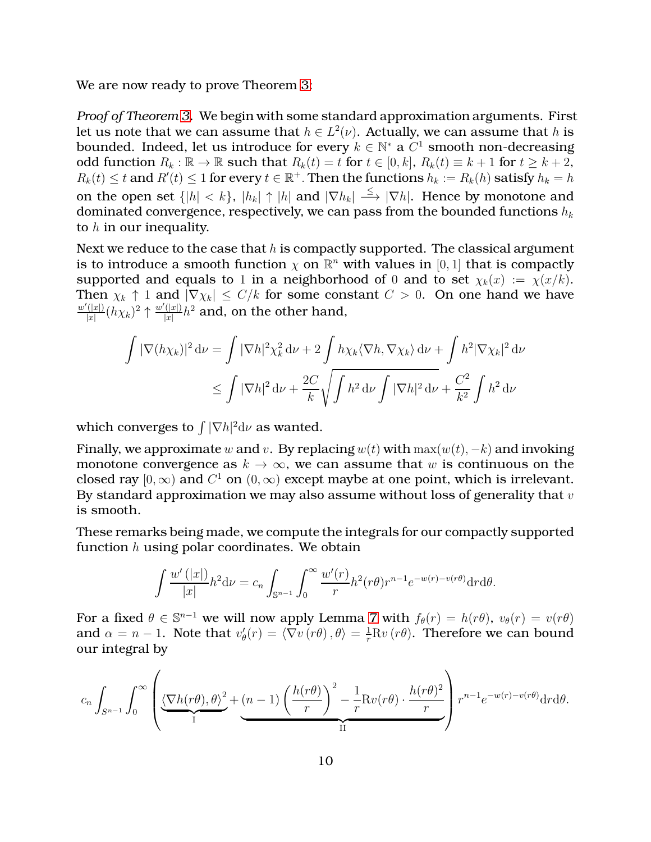We are now ready to prove Theorem [3:](#page-5-0)

*Proof of Theorem [3.](#page-5-0)* We begin with some standard approximation arguments. First let us note that we can assume that  $h \in L^2(\nu)$ . Actually, we can assume that h is bounded. Indeed, let us introduce for every  $k \in \mathbb{N}^*$  a  $C^1$  smooth non-decreasing odd function  $R_k : \mathbb{R} \to \mathbb{R}$  such that  $R_k(t) = t$  for  $t \in [0, k]$ ,  $R_k(t) \equiv k + 1$  for  $t \ge k + 2$ ,  $R_k(t) \leq t$  and  $R'(t) \leq 1$  for every  $t \in \mathbb{R}^+$ . Then the functions  $h_k := R_k(h)$  satisfy  $h_k = h$ on the open set  $\{|h| < k\}$ ,  $|h_k| \uparrow |h|$  and  $|\nabla h_k| \stackrel{\leq}{\longrightarrow} |\nabla h|$ . Hence by monotone and dominated convergence, respectively, we can pass from the bounded functions  $h_k$ to  $h$  in our inequality.

Next we reduce to the case that  $h$  is compactly supported. The classical argument is to introduce a smooth function  $\chi$  on  $\mathbb{R}^n$  with values in  $[0,1]$  that is compactly supported and equals to 1 in a neighborhood of 0 and to set  $\chi_k(x) := \chi(x/k)$ . Then  $\chi_k \uparrow 1$  and  $|\nabla \chi_k| \leq C/k$  for some constant  $C > 0$ . On one hand we have  $w'(|x|)$  $\frac{d^{(x)}}{|x|}$  $(h\chi_k)^2$   $\uparrow \frac{w'(|x|)}{|x|}$  $\frac{\left(\left(\left|x\right|\right)}{\left|x\right|}h^2$  and, on the other hand,

$$
\int |\nabla(h\chi_k)|^2 d\nu = \int |\nabla h|^2 \chi_k^2 d\nu + 2 \int h\chi_k \langle \nabla h, \nabla \chi_k \rangle d\nu + \int h^2 |\nabla \chi_k|^2 d\nu
$$
  

$$
\leq \int |\nabla h|^2 d\nu + \frac{2C}{k} \sqrt{\int h^2 d\nu \int |\nabla h|^2 d\nu} + \frac{C^2}{k^2} \int h^2 d\nu
$$

which converges to  $\int |\nabla h|^2\mathrm{d}\nu$  as wanted.

Finally, we approximate w and v. By replacing  $w(t)$  with  $\max(w(t), -k)$  and invoking monotone convergence as  $k \to \infty$ , we can assume that w is continuous on the closed ray  $[0, \infty)$  and  $C^1$  on  $(0, \infty)$  except maybe at one point, which is irrelevant. By standard approximation we may also assume without loss of generality that  $v$ is smooth.

These remarks being made, we compute the integrals for our compactly supported function  $h$  using polar coordinates. We obtain

$$
\int \frac{w'(|x|)}{|x|} h^2 \mathrm{d} \nu = c_n \int_{\mathbb{S}^{n-1}} \int_0^\infty \frac{w'(r)}{r} h^2(r\theta) r^{n-1} e^{-w(r)-v(r\theta)} \mathrm{d} r \mathrm{d} \theta.
$$

For a fixed  $\theta \in \mathbb{S}^{n-1}$  we will now apply Lemma [7](#page-8-0) with  $f_{\theta}(r) = h(r\theta)$ ,  $v_{\theta}(r) = v(r\theta)$ and  $\alpha = n - 1$ . Note that  $v'_{\theta}(r) = \langle \nabla v(r\theta), \theta \rangle = \frac{1}{r}Rv(r\theta)$ . Therefore we can bound our integral by

$$
c_n \int_{S^{n-1}} \int_0^\infty \left( \underbrace{\langle \nabla h(r\theta), \theta \rangle^2}_{\text{I}} + \underbrace{(n-1) \left( \frac{h(r\theta)}{r} \right)^2}_{\text{II}} - \frac{1}{r} \text{R} v(r\theta) \cdot \frac{h(r\theta)^2}{r} \right) r^{n-1} e^{-w(r) - v(r\theta)} \text{d}r \text{d}\theta.
$$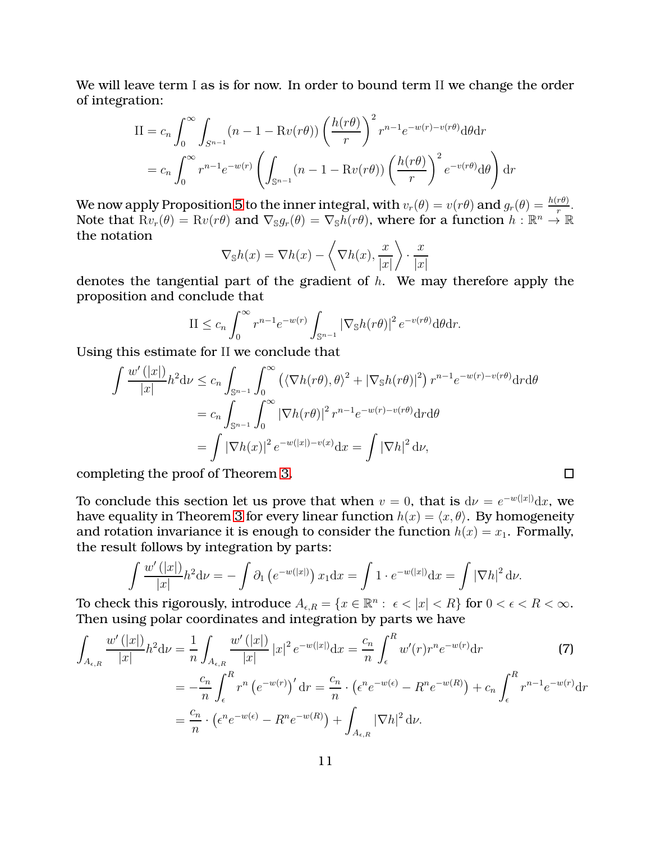We will leave term I as is for now. In order to bound term II we change the order of integration:

$$
II = c_n \int_0^\infty \int_{S^{n-1}} (n - 1 - Rv(r\theta)) \left(\frac{h(r\theta)}{r}\right)^2 r^{n-1} e^{-w(r) - v(r\theta)} d\theta dr
$$
  
=  $c_n \int_0^\infty r^{n-1} e^{-w(r)} \left( \int_{S^{n-1}} (n - 1 - Rv(r\theta)) \left(\frac{h(r\theta)}{r}\right)^2 e^{-v(r\theta)} d\theta \right) dr$ 

We now apply Proposition [5](#page-7-0) to the inner integral, with  $v_r(\theta) = v(r\theta)$  and  $g_r(\theta) = \frac{h(r\theta)}{r}$ . Note that  $Rv_r(\theta) = Rv(r\theta)$  and  $\nabla_{\mathbb{S}} g_r(\theta) = \nabla_{\mathbb{S}} h(r\theta)$ , where for a function  $h : \mathbb{R}^n \to \mathbb{R}$ the notation

$$
\nabla_{\mathbb{S}}h(x) = \nabla h(x) - \left\langle \nabla h(x), \frac{x}{|x|} \right\rangle \cdot \frac{x}{|x|}
$$

denotes the tangential part of the gradient of  $h$ . We may therefore apply the proposition and conclude that

$$
\text{II} \le c_n \int_0^\infty r^{n-1} e^{-w(r)} \int_{\mathbb{S}^{n-1}} |\nabla_{\mathbb{S}} h(r\theta)|^2 e^{-v(r\theta)} d\theta dr.
$$

Using this estimate for II we conclude that

$$
\int \frac{w'(|x|)}{|x|} h^2 \mathrm{d} \nu \leq c_n \int_{\mathbb{S}^{n-1}} \int_0^\infty \left( \langle \nabla h(r\theta), \theta \rangle^2 + |\nabla_{\mathbb{S}} h(r\theta)|^2 \right) r^{n-1} e^{-w(r) - v(r\theta)} \mathrm{d}r \mathrm{d}\theta
$$

$$
= c_n \int_{\mathbb{S}^{n-1}} \int_0^\infty |\nabla h(r\theta)|^2 r^{n-1} e^{-w(r) - v(r\theta)} \mathrm{d}r \mathrm{d}\theta
$$

$$
= \int |\nabla h(x)|^2 e^{-w(|x|) - v(x)} \mathrm{d}x = \int |\nabla h|^2 \mathrm{d}v,
$$

completing the proof of Theorem [3.](#page-5-0)

To conclude this section let us prove that when  $v=0$ , that is  $\mathrm{d} \nu = e^{-w(|x|)} \mathrm{d} x$ , we have equality in Theorem [3](#page-5-0) for every linear function  $h(x) = \langle x, \theta \rangle$ . By homogeneity and rotation invariance it is enough to consider the function  $h(x) = x_1$ . Formally, the result follows by integration by parts:

<span id="page-10-0"></span> $\Box$ 

$$
\int \frac{w'(|x|)}{|x|} h^2 \mathrm{d} \nu = -\int \partial_1 \left( e^{-w(|x|)} \right) x_1 \mathrm{d} x = \int 1 \cdot e^{-w(|x|)} \mathrm{d} x = \int |\nabla h|^2 \mathrm{d} \nu.
$$

To check this rigorously, introduce  $A_{\epsilon,R} = \{x \in \mathbb{R}^n: \; \epsilon < |x| < R\}$  for  $0 < \epsilon < R < \infty$ . Then using polar coordinates and integration by parts we have

$$
\int_{A_{\epsilon,R}} \frac{w'(|x|)}{|x|} h^2 \mathrm{d} \nu = \frac{1}{n} \int_{A_{\epsilon,R}} \frac{w'(|x|)}{|x|} |x|^2 e^{-w(|x|)} \mathrm{d} x = \frac{c_n}{n} \int_{\epsilon}^R w'(r) r^n e^{-w(r)} \mathrm{d} r
$$
\n
$$
= -\frac{c_n}{n} \int_{\epsilon}^R r^n (e^{-w(r)})' \mathrm{d} r = \frac{c_n}{n} \cdot (e^n e^{-w(\epsilon)} - R^n e^{-w(R)}) + c_n \int_{\epsilon}^R r^{n-1} e^{-w(r)} \mathrm{d} r
$$
\n
$$
= \frac{c_n}{n} \cdot (e^n e^{-w(\epsilon)} - R^n e^{-w(R)}) + \int_{A_{\epsilon,R}} |\nabla h|^2 \mathrm{d} \nu.
$$
\n(7)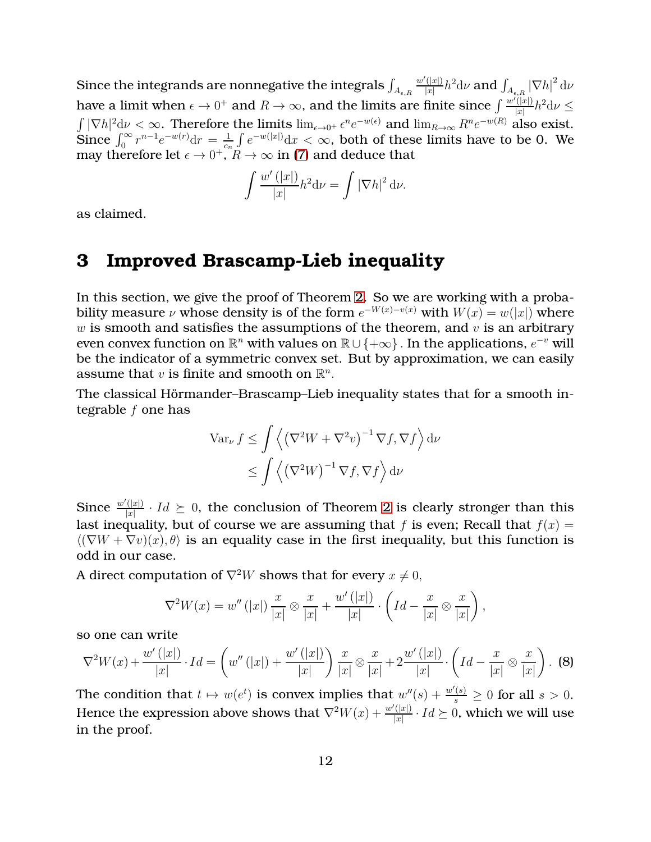Since the integrands are nonnegative the integrals  $\int_{A_{\epsilon,R}}$  $w'(|x|)$  $\frac{d\langle |x| \rangle}{|x|} h^2 \mathrm{d} \nu$  and  $\int_{A_{\epsilon,R}}|\nabla h|^2 \, \mathrm{d} \nu$ have a limit when  $\epsilon \to 0^+$  and  $R \to \infty$ , and the limits are finite since  $\int \frac{w'(|x|)}{|x|}$  $\frac{\overline{f(|x|)}}{|x|}h^2\mathrm{d}\nu\leq$  $\int |\nabla h|^2 d\nu < \infty$ . Therefore the limits  $\lim_{\epsilon \to 0^+} \epsilon^n e^{-w(\epsilon)}$  and  $\lim_{R \to \infty} R^n e^{-w(R)}$  also exist. Since  $\int_0^\infty r^{n-1} e^{-w(r)} dr = \frac{1}{c_r}$  $\frac{1}{c_n}\int e^{-w(|x|)}dx < \infty$ , both of these limits have to be 0. We may therefore let  $\epsilon \to 0^+, R \to \infty$  in [\(7\)](#page-10-0) and deduce that

$$
\int \frac{w'(|x|)}{|x|} h^2 \mathrm{d} \nu = \int |\nabla h|^2 \mathrm{d} \nu.
$$

as claimed.

#### **3 Improved Brascamp-Lieb inequality**

In this section, we give the proof of Theorem [2.](#page-4-0) So we are working with a probability measure  $\nu$  whose density is of the form  $e^{-W(x)-v(x)}$  with  $W(x) = w(|x|)$  where  $w$  is smooth and satisfies the assumptions of the theorem, and  $v$  is an arbitrary even convex function on  $\mathbb{R}^n$  with values on  $\mathbb{R} \cup \{+\infty\}$  . In the applications,  $e^{-v}$  will be the indicator of a symmetric convex set. But by approximation, we can easily assume that  $v$  is finite and smooth on  $\mathbb{R}^n$ .

The classical Hörmander–Brascamp–Lieb inequality states that for a smooth integrable  $f$  one has

$$
\operatorname{Var}_{\nu} f \le \int \left\langle \left(\nabla^2 W + \nabla^2 v\right)^{-1} \nabla f, \nabla f \right\rangle d\nu
$$
  
\$\leq \int \left\langle \left(\nabla^2 W\right)^{-1} \nabla f, \nabla f \right\rangle d\nu\$

Since  $\frac{w'(|x|)}{|x|}$  $\frac{(|x|)}{|x|}\cdot Id \succeq 0$ , the conclusion of Theorem [2](#page-4-0) is clearly stronger than this last inequality, but of course we are assuming that f is even; Recall that  $f(x) =$  $\langle (\nabla W + \nabla v)(x), \theta \rangle$  is an equality case in the first inequality, but this function is odd in our case.

A direct computation of  $\nabla^2 W$  shows that for every  $x \neq 0$ ,

$$
\nabla^2 W(x) = w''(|x|) \frac{x}{|x|} \otimes \frac{x}{|x|} + \frac{w'(|x|)}{|x|} \cdot \left( Id - \frac{x}{|x|} \otimes \frac{x}{|x|} \right),
$$

so one can write

<span id="page-11-0"></span>
$$
\nabla^2 W(x) + \frac{w'(|x|)}{|x|} \cdot Id = \left(w''(|x|) + \frac{w'(|x|)}{|x|}\right) \frac{x}{|x|} \otimes \frac{x}{|x|} + 2\frac{w'(|x|)}{|x|} \cdot \left(Id - \frac{x}{|x|} \otimes \frac{x}{|x|}\right). \tag{8}
$$

The condition that  $t \mapsto w(e^t)$  is convex implies that  $w''(s) + \frac{w'(s)}{s} \ge 0$  for all  $s > 0$ . Hence the expression above shows that  $\nabla^2 W(x) + \frac{w'(|x|)}{|x|}$  $\frac{(|x|)}{|x|}\cdot Id\succeq 0,$  which we will use in the proof.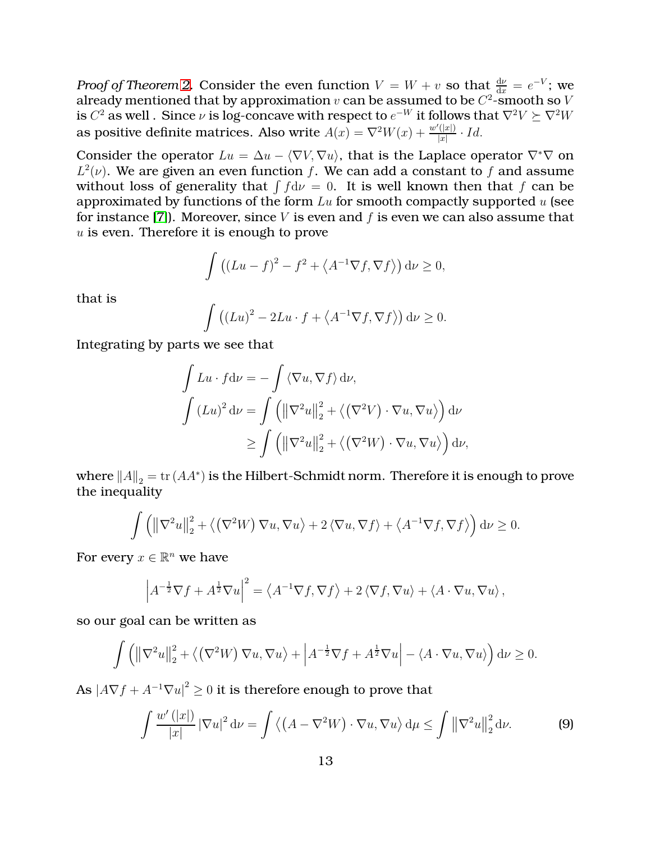*Proof of Theorem [2.](#page-4-0)* Consider the even function  $V = W + v$  so that  $\frac{dv}{dx} = e^{-V}$ ; we already mentioned that by approximation  $v$  can be assumed to be  $C^2\text{-smooth}$  so  $V$ is  $C^2$  as well . Since  $\nu$  is log-concave with respect to  $e^{-W}$  it follows that  $\nabla^2 V \succeq \nabla^2 W$ as positive definite matrices. Also write  $\overrightarrow{A(x)} = \nabla^2 W(x) + \frac{w'(|x|)}{|x|}$  $\frac{(|x|)}{|x|} \cdot Id.$ 

Consider the operator  $Lu = \Delta u - \langle \nabla V, \nabla u \rangle$ , that is the Laplace operator  $\nabla^* \nabla$  on  $L^2(\nu)$ . We are given an even function f. We can add a constant to f and assume without loss of generality that  $\int f d\nu = 0$ . It is well known then that f can be approximated by functions of the form  $Lu$  for smooth compactly supported  $u$  (see for instance [\[7\]](#page-19-0)). Moreover, since  $V$  is even and  $f$  is even we can also assume that u is even. Therefore it is enough to prove

$$
\int ((Lu - f)^{2} - f^{2} + \langle A^{-1} \nabla f, \nabla f \rangle) d\nu \ge 0,
$$

that is

$$
\int ((Lu)^{2} - 2Lu \cdot f + \langle A^{-1} \nabla f, \nabla f \rangle) d\nu \ge 0.
$$

Integrating by parts we see that

$$
\int Lu \cdot f \, d\nu = -\int \langle \nabla u, \nabla f \rangle \, d\nu,
$$

$$
\int (Lu)^2 \, d\nu = \int \left( \|\nabla^2 u\|_2^2 + \langle (\nabla^2 V) \cdot \nabla u, \nabla u \rangle \right) d\nu
$$

$$
\geq \int \left( \|\nabla^2 u\|_2^2 + \langle (\nabla^2 W) \cdot \nabla u, \nabla u \rangle \right) d\nu,
$$

where  $||A||_2 = \text{tr} (AA^*)$  is the Hilbert-Schmidt norm. Therefore it is enough to prove the inequality

$$
\int \left( \left\| \nabla^2 u \right\|_2^2 + \left\langle \left( \nabla^2 W \right) \nabla u, \nabla u \right\rangle + 2 \left\langle \nabla u, \nabla f \right\rangle + \left\langle A^{-1} \nabla f, \nabla f \right\rangle \right) d\nu \ge 0.
$$

For every  $x \in \mathbb{R}^n$  we have

$$
\left| A^{-\frac{1}{2}} \nabla f + A^{\frac{1}{2}} \nabla u \right|^2 = \left\langle A^{-1} \nabla f, \nabla f \right\rangle + 2 \left\langle \nabla f, \nabla u \right\rangle + \left\langle A \cdot \nabla u, \nabla u \right\rangle,
$$

so our goal can be written as

$$
\int \left( \left\| \nabla^2 u \right\|_2^2 + \left\langle \left( \nabla^2 W \right) \nabla u, \nabla u \right\rangle + \left| A^{-\frac{1}{2}} \nabla f + A^{\frac{1}{2}} \nabla u \right| - \left\langle A \cdot \nabla u, \nabla u \right\rangle \right) d\nu \ge 0.
$$

As  $\left| A \nabla f + A^{-1} \nabla u \right|^2 \geq 0$  it is therefore enough to prove that

<span id="page-12-0"></span>
$$
\int \frac{w'(|x|)}{|x|} |\nabla u|^2 \, \mathrm{d}\nu = \int \left\langle \left( A - \nabla^2 W \right) \cdot \nabla u, \nabla u \right\rangle \mathrm{d}\mu \le \int \left\| \nabla^2 u \right\|_2^2 \mathrm{d}\nu. \tag{9}
$$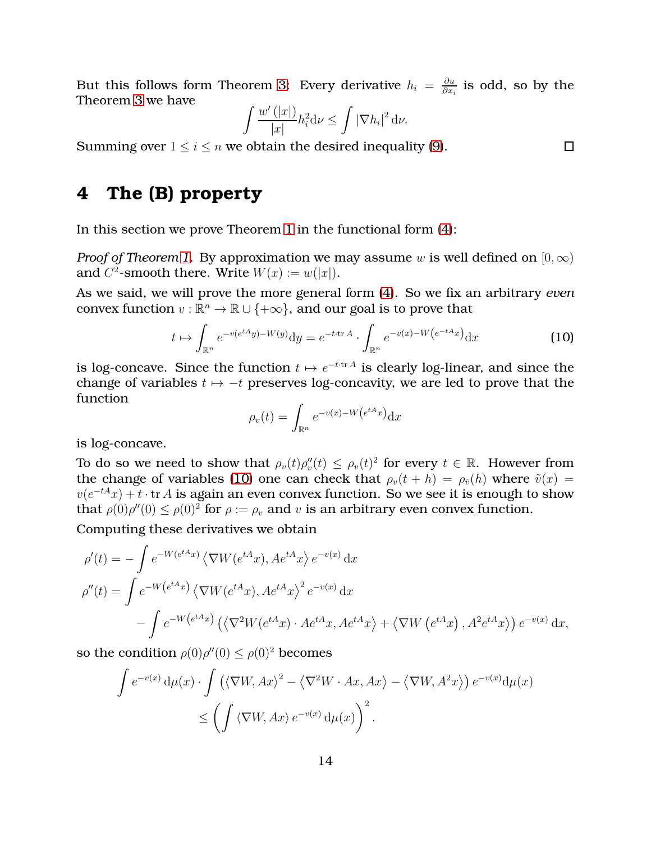But this follows form Theorem [3:](#page-5-0) Every derivative  $h_i = \frac{\partial u_i}{\partial x_i}$  $\frac{\partial u}{\partial x_i}$  is odd, so by the Theorem [3](#page-5-0) we have

$$
\int \frac{w'(|x|)}{|x|} h_i^2 \mathrm{d} \nu \le \int |\nabla h_i|^2 \, \mathrm{d} \nu.
$$

<span id="page-13-0"></span>Summing over  $1 \le i \le n$  we obtain the desired inequality [\(9\)](#page-12-0).

## **4 The (B) property**

In this section we prove Theorem [1](#page-2-1) in the functional form [\(4\)](#page-2-0):

*Proof of Theorem [1.](#page-2-1)* By approximation we may assume w is well defined on  $[0, \infty)$ and  $C^2$ -smooth there. Write  $W(x) := w(|x|)$ .

As we said, we will prove the more general form [\(4\)](#page-2-0). So we fix an arbitrary *even* convex function  $v : \mathbb{R}^n \to \mathbb{R} \cup \{+\infty\}$ , and our goal is to prove that

<span id="page-13-1"></span>
$$
t \mapsto \int_{\mathbb{R}^n} e^{-v(e^{tA}y) - W(y)} \mathrm{d}y = e^{-t \cdot \text{tr}A} \cdot \int_{\mathbb{R}^n} e^{-v(x) - W\left(e^{-tA}x\right)} \mathrm{d}x \tag{10}
$$

is log-concave. Since the function  $t \mapsto e^{-t \cdot \text{tr} A}$  is clearly log-linear, and since the change of variables  $t \mapsto -t$  preserves log-concavity, we are led to prove that the function

$$
\rho_v(t) = \int_{\mathbb{R}^n} e^{-v(x) - W(e^{tA}x)} dx
$$

is log-concave.

To do so we need to show that  $\rho_v(t)\rho_v''(t) \leq \rho_v(t)^2$  for every  $t \in \mathbb{R}$ . However from the change of variables [\(10\)](#page-13-1) one can check that  $\rho_v(t + h) = \rho_{\tilde{v}}(h)$  where  $\tilde{v}(x) =$  $v(e^{-tA}x) + t \cdot \text{tr } A$  is again an even convex function. So we see it is enough to show that  $\rho(0)\rho''(0) \leq \rho(0)^2$  for  $\rho := \rho_v$  and v is an arbitrary even convex function.

Computing these derivatives we obtain

$$
\rho'(t) = -\int e^{-W(e^{tA}x)} \langle \nabla W(e^{tA}x), Ae^{tA}x \rangle e^{-v(x)} dx
$$
  
\n
$$
\rho''(t) = \int e^{-W(e^{tA}x)} \langle \nabla W(e^{tA}x), Ae^{tA}x \rangle^2 e^{-v(x)} dx
$$
  
\n
$$
- \int e^{-W(e^{tA}x)} \left( \langle \nabla^2 W(e^{tA}x) \cdot Ae^{tA}x, Ae^{tA}x \rangle + \langle \nabla W(e^{tA}x), Ae^{tA}x \rangle \right) e^{-v(x)} dx,
$$

so the condition  $\rho(0)\rho''(0) \leq \rho(0)^2$  becomes

$$
\int e^{-v(x)} d\mu(x) \cdot \int (\langle \nabla W, Ax \rangle^2 - \langle \nabla^2 W \cdot Ax, Ax \rangle - \langle \nabla W, A^2x \rangle) e^{-v(x)} d\mu(x)
$$
  

$$
\leq \left( \int \langle \nabla W, Ax \rangle e^{-v(x)} d\mu(x) \right)^2.
$$

 $\Box$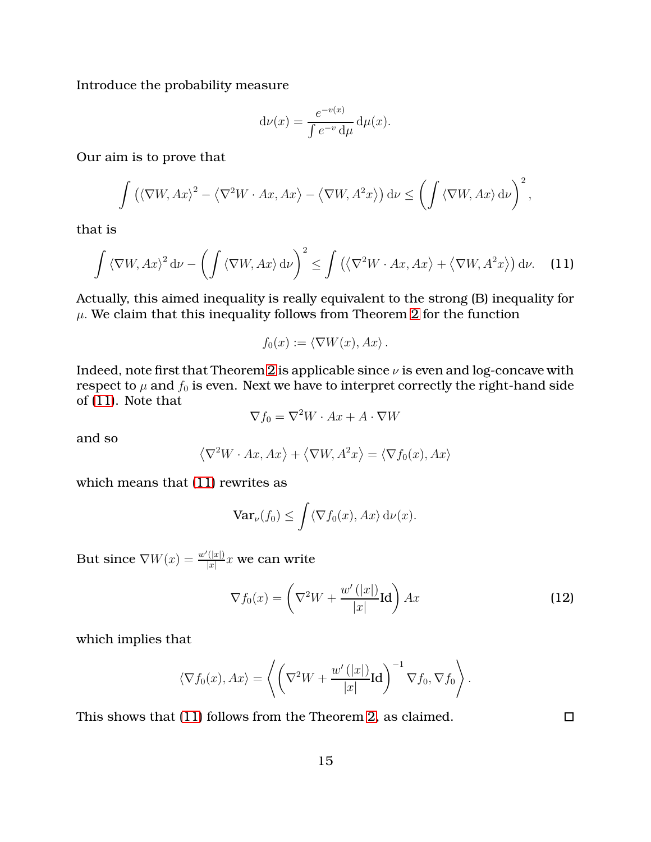Introduce the probability measure

$$
d\nu(x) = \frac{e^{-v(x)}}{\int e^{-v} d\mu} d\mu(x).
$$

Our aim is to prove that

$$
\int \left( \langle \nabla W, Ax \rangle^2 - \langle \nabla^2 W \cdot Ax, Ax \rangle - \langle \nabla W, A^2 x \rangle \right) d\nu \le \left( \int \langle \nabla W, Ax \rangle d\nu \right)^2,
$$

that is

<span id="page-14-0"></span>
$$
\int \langle \nabla W, Ax \rangle^2 d\nu - \left( \int \langle \nabla W, Ax \rangle d\nu \right)^2 \le \int \left( \langle \nabla^2 W \cdot Ax, Ax \rangle + \langle \nabla W, A^2 x \rangle \right) d\nu. \tag{11}
$$

Actually, this aimed inequality is really equivalent to the strong (B) inequality for  $\mu$ . We claim that this inequality follows from Theorem [2](#page-4-0) for the function

$$
f_0(x) := \langle \nabla W(x), Ax \rangle.
$$

Indeed, note first that Theorem [2](#page-4-0) is applicable since  $\nu$  is even and log-concave with respect to  $\mu$  and  $f_0$  is even. Next we have to interpret correctly the right-hand side of [\(11\)](#page-14-0). Note that

$$
\nabla f_0 = \nabla^2 W \cdot Ax + A \cdot \nabla W
$$

and so

$$
\langle \nabla^2 W \cdot Ax, Ax \rangle + \langle \nabla W, A^2 x \rangle = \langle \nabla f_0(x), Ax \rangle
$$

which means that [\(11\)](#page-14-0) rewrites as

$$
\operatorname{Var}_{\nu}(f_0) \le \int \langle \nabla f_0(x), Ax \rangle \, \mathrm{d}\nu(x).
$$

But since  $\nabla W(x) = \frac{w'(|x|)}{|x|}$  $\frac{(|x|)}{|x|}x$  we can write

<span id="page-14-1"></span>
$$
\nabla f_0(x) = \left(\nabla^2 W + \frac{w'(|x|)}{|x|} \mathbf{Id}\right) Ax \tag{12}
$$

which implies that

$$
\langle \nabla f_0(x), Ax \rangle = \left\langle \left( \nabla^2 W + \frac{w'(|x|)}{|x|} \mathbf{Id} \right)^{-1} \nabla f_0, \nabla f_0 \right\rangle.
$$

This shows that [\(11\)](#page-14-0) follows from the Theorem [2,](#page-4-0) as claimed.

 $\Box$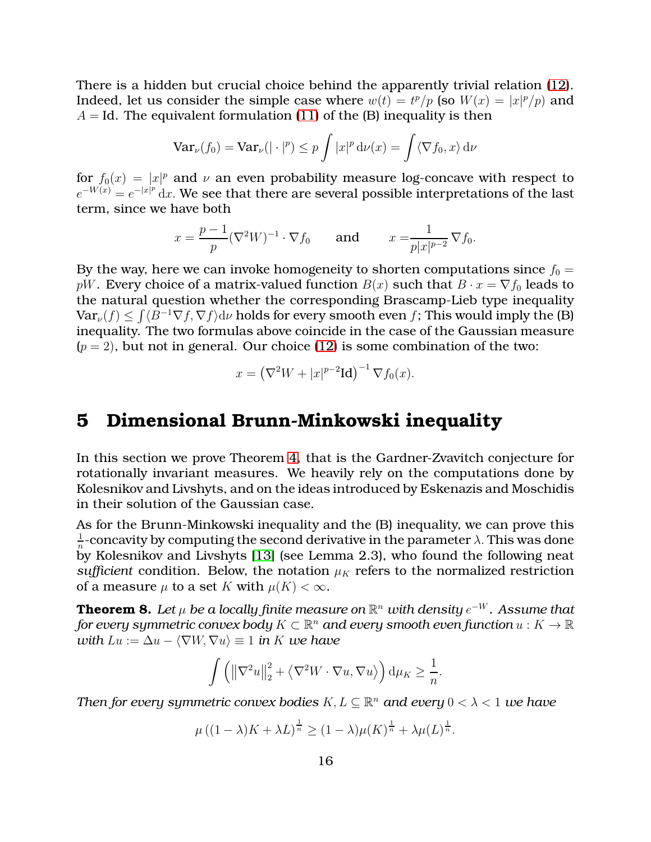There is a hidden but crucial choice behind the apparently trivial relation [\(12\)](#page-14-1). Indeed, let us consider the simple case where  $w(t) = t^p/p$  (so  $W(x) = |x|^p/p$ ) and  $A = Id$ . The equivalent formulation [\(11\)](#page-14-0) of the (B) inequality is then

$$
\operatorname{Var}_{\nu}(f_0) = \operatorname{Var}_{\nu}(|\cdot|^p) \le p \int |x|^p \, \mathrm{d}\nu(x) = \int \langle \nabla f_0, x \rangle \, \mathrm{d}\nu
$$

for  $f_0(x) = |x|^p$  and  $\nu$  an even probability measure log-concave with respect to  $e^{-W(x)} = e^{-|x|^p} dx$ . We see that there are several possible interpretations of the last term, since we have both

$$
x = \frac{p-1}{p} (\nabla^2 W)^{-1} \cdot \nabla f_0
$$
 and  $x = \frac{1}{p|x|^{p-2}} \nabla f_0$ .

By the way, here we can invoke homogeneity to shorten computations since  $f_0 =$ pW. Every choice of a matrix-valued function  $B(x)$  such that  $B \cdot x = \nabla f_0$  leads to the natural question whether the corresponding Brascamp-Lieb type inequality  $\text{Var}_{\nu}(f) \le \int \langle B^{-1}\nabla f, \nabla f \rangle \text{d}\nu$  holds for every smooth even f; This would imply the (B) inequality. The two formulas above coincide in the case of the Gaussian measure  $(p = 2)$ , but not in general. Our choice [\(12\)](#page-14-1) is some combination of the two:

$$
x = \left(\nabla^2 W + |x|^{p-2} \mathbf{Id}\right)^{-1} \nabla f_0(x).
$$

#### **5 Dimensional Brunn-Minkowski inequality**

In this section we prove Theorem [4,](#page-6-0) that is the Gardner-Zvavitch conjecture for rotationally invariant measures. We heavily rely on the computations done by Kolesnikov and Livshyts, and on the ideas introduced by Eskenazis and Moschidis in their solution of the Gaussian case.

As for the Brunn-Minkowski inequality and the (B) inequality, we can prove this 1  $\frac{1}{n}$ -concavity by computing the second derivative in the parameter  $\lambda$ . This was done by Kolesnikov and Livshyts [\[13\]](#page-20-8) (see Lemma 2.3), who found the following neat *sufficient* condition. Below, the notation  $\mu_K$  refers to the normalized restriction of a measure  $\mu$  to a set K with  $\mu(K) < \infty$ .

<span id="page-15-0"></span>**Theorem 8.** Let  $\mu$  be a locally finite measure on  $\mathbb{R}^n$  with density  $e^{-W}$ . Assume that  $f$ or every symmetric convex body  $K \subset \mathbb{R}^n$  and every smooth even function  $u: K \to \mathbb{R}^n$ *with*  $Lu := \Delta u - \langle \nabla W, \nabla u \rangle \equiv 1$  *in* K *we have* 

$$
\int \left( \left\|\nabla^2 u\right\|_2^2 + \left\langle \nabla^2 W \cdot \nabla u, \nabla u \right\rangle \right) \mathrm{d} \mu_K \ge \frac{1}{n}.
$$

*Then for every symmetric convex bodies*  $K,L\subseteq \mathbb{R}^n$  *and every*  $0<\lambda < 1$  *we have* 

$$
\mu\left((1-\lambda)K+\lambda L\right)^{\frac{1}{n}}\geq(1-\lambda)\mu(K)^{\frac{1}{n}}+\lambda\mu(L)^{\frac{1}{n}}.
$$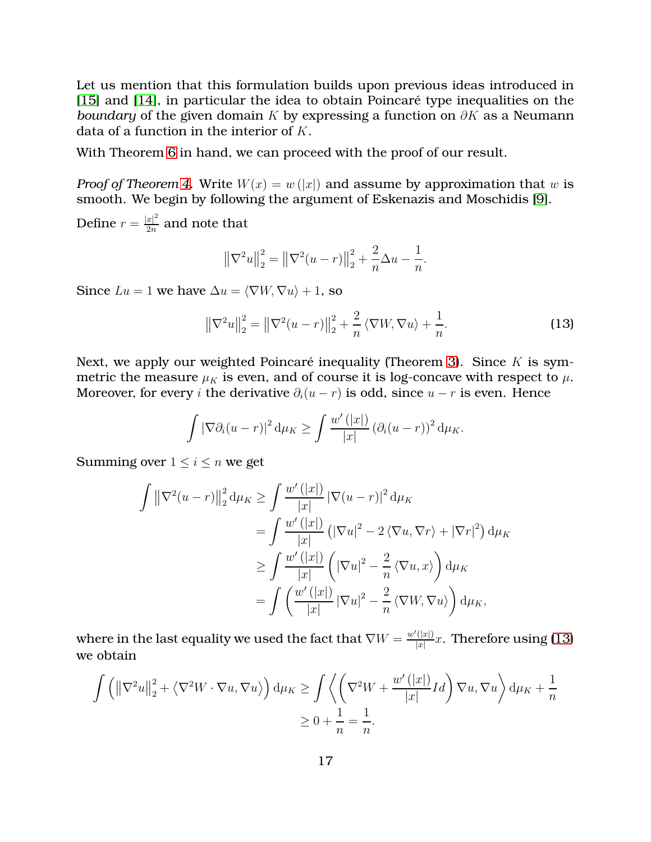Let us mention that this formulation builds upon previous ideas introduced in [\[15\]](#page-20-6) and [\[14\]](#page-20-7), in particular the idea to obtain Poincaré type inequalities on the *boundary* of the given domain K by expressing a function on  $\partial K$  as a Neumann data of a function in the interior of K.

With Theorem [6](#page-7-1) in hand, we can proceed with the proof of our result.

*Proof of Theorem [4.](#page-6-0)* Write  $W(x) = w(|x|)$  and assume by approximation that w is smooth. We begin by following the argument of Eskenazis and Moschidis [\[9\]](#page-19-4).

Define  $r = \frac{|x|^2}{2n}$  $\frac{x_1}{2n}$  and note that

$$
\left\|\nabla^2 u\right\|_2^2 = \left\|\nabla^2 (u-r)\right\|_2^2 + \frac{2}{n} \Delta u - \frac{1}{n}.
$$

Since  $Lu = 1$  we have  $\Delta u = \langle \nabla W, \nabla u \rangle + 1$ , so

<span id="page-16-0"></span>
$$
\left\|\nabla^2 u\right\|_2^2 = \left\|\nabla^2 (u-r)\right\|_2^2 + \frac{2}{n} \left\langle \nabla W, \nabla u \right\rangle + \frac{1}{n}.
$$
 (13)

Next, we apply our weighted Poincaré inequality (Theorem [3\)](#page-5-0). Since  $K$  is symmetric the measure  $\mu_K$  is even, and of course it is log-concave with respect to  $\mu$ . Moreover, for every i the derivative  $\partial_i(u - r)$  is odd, since  $u - r$  is even. Hence

$$
\int \left|\nabla \partial_i (u-r)\right|^2 \mathrm{d} \mu_K \geq \int \frac{w'\left(|x|\right)}{|x|} \left(\partial_i (u-r)\right)^2 \mathrm{d} \mu_K.
$$

Summing over  $1 \leq i \leq n$  we get

$$
\int \left\|\nabla^{2}(u-r)\right\|_{2}^{2} \mathrm{d}\mu_{K} \geq \int \frac{w'(|x|)}{|x|} \left|\nabla(u-r)\right|^{2} \mathrm{d}\mu_{K}
$$
\n
$$
= \int \frac{w'(|x|)}{|x|} \left(|\nabla u|^{2} - 2\langle \nabla u, \nabla r \rangle + |\nabla r|^{2}\right) \mathrm{d}\mu_{K}
$$
\n
$$
\geq \int \frac{w'(|x|)}{|x|} \left(|\nabla u|^{2} - \frac{2}{n}\langle \nabla u, x \rangle\right) \mathrm{d}\mu_{K}
$$
\n
$$
= \int \left(\frac{w'(|x|)}{|x|} |\nabla u|^{2} - \frac{2}{n}\langle \nabla W, \nabla u \rangle\right) \mathrm{d}\mu_{K},
$$

where in the last equality we used the fact that  $\nabla W = \frac{w'(|x|)}{|x|}$  $\frac{(|x|)}{|x|}x$ . Therefore using [\(13\)](#page-16-0) we obtain

$$
\int \left( \left\| \nabla^2 u \right\|_2^2 + \left\langle \nabla^2 W \cdot \nabla u, \nabla u \right\rangle \right) d\mu_K \ge \int \left\langle \left( \nabla^2 W + \frac{w'(|x|)}{|x|} Id \right) \nabla u, \nabla u \right\rangle d\mu_K + \frac{1}{n}
$$
  

$$
\ge 0 + \frac{1}{n} = \frac{1}{n}.
$$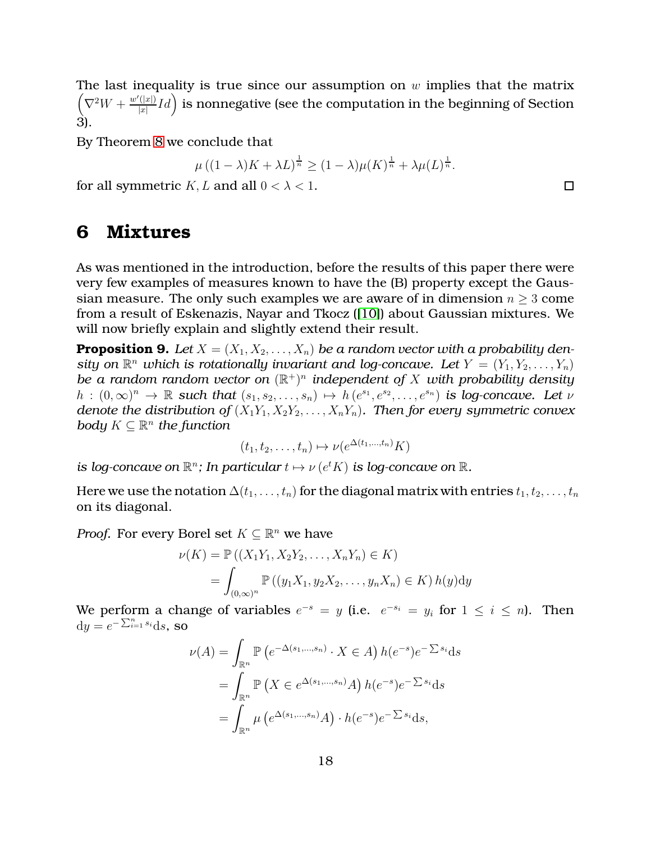The last inequality is true since our assumption on  $w$  implies that the matrix  $\left(\nabla^2 W + \frac{w'(|x|)}{|x|}\right)$  $\frac{d\hat{X}(|x|)}{|x|}Id\Big)$  is nonnegative (see the computation in the beginning of Section 3).

By Theorem [8](#page-15-0) we conclude that

$$
\mu\left((1-\lambda)K+\lambda L\right)^{\frac{1}{n}}\geq(1-\lambda)\mu(K)^{\frac{1}{n}}+\lambda\mu(L)^{\frac{1}{n}}.
$$

<span id="page-17-0"></span>for all symmetric K, L and all  $0 < \lambda < 1$ .

#### **6 Mixtures**

As was mentioned in the introduction, before the results of this paper there were very few examples of measures known to have the (B) property except the Gaussian measure. The only such examples we are aware of in dimension  $n \geq 3$  come from a result of Eskenazis, Nayar and Tkocz ([\[10\]](#page-19-3)) about Gaussian mixtures. We will now briefly explain and slightly extend their result.

<span id="page-17-1"></span>**Proposition 9.** Let  $X = (X_1, X_2, \ldots, X_n)$  be a random vector with a probability density on  $\mathbb{R}^n$  which is rotationally invariant and log-concave. Let  $Y = (Y_1, Y_2, \ldots, Y_n)$ *be a random random vector on* (R +) n *independent of* X *with probability density*  $h:(0,\infty)^n\to\mathbb{R}$  such that  $(s_1,s_2,\ldots,s_n)\mapsto h(e^{s_1},e^{s_2},\ldots,e^{s_n})$  is log-concave. Let  $\nu$ *denote the distribution of*  $(X_1Y_1, X_2Y_2, \ldots, X_nY_n)$ *. Then for every symmetric convex body*  $K \subseteq \mathbb{R}^n$  the function

$$
(t_1, t_2, \ldots, t_n) \mapsto \nu(e^{\Delta(t_1, \ldots, t_n)} K)
$$

*is log-concave on*  $\mathbb{R}^n$ ; *In particular*  $t \mapsto \nu(e^t K)$  *is log-concave on*  $\mathbb{R}$ *.* 

Here we use the notation  $\Delta(t_1,\ldots,t_n)$  for the diagonal matrix with entries  $t_1, t_2, \ldots, t_n$ on its diagonal.

*Proof.* For every Borel set  $K \subseteq \mathbb{R}^n$  we have

$$
\nu(K) = \mathbb{P}\left((X_1Y_1, X_2Y_2, \dots, X_nY_n) \in K\right)
$$
  
= 
$$
\int_{(0,\infty)^n} \mathbb{P}\left((y_1X_1, y_2X_2, \dots, y_nX_n) \in K\right) h(y) \mathrm{d}y
$$

We perform a change of variables  $e^{-s} = y$  (i.e.  $e^{-s_i} = y_i$  for  $1 \le i \le n$ ). Then  $dy = e^{-\sum_{i=1}^{n} s_i} ds$ , so

$$
\nu(A) = \int_{\mathbb{R}^n} \mathbb{P}\left(e^{-\Delta(s_1,\dots,s_n)} \cdot X \in A\right) h(e^{-s})e^{-\sum s_i} ds
$$

$$
= \int_{\mathbb{R}^n} \mathbb{P}\left(X \in e^{\Delta(s_1,\dots,s_n)}A\right) h(e^{-s})e^{-\sum s_i} ds
$$

$$
= \int_{\mathbb{R}^n} \mu\left(e^{\Delta(s_1,\dots,s_n)}A\right) \cdot h(e^{-s})e^{-\sum s_i} ds,
$$

 $\Box$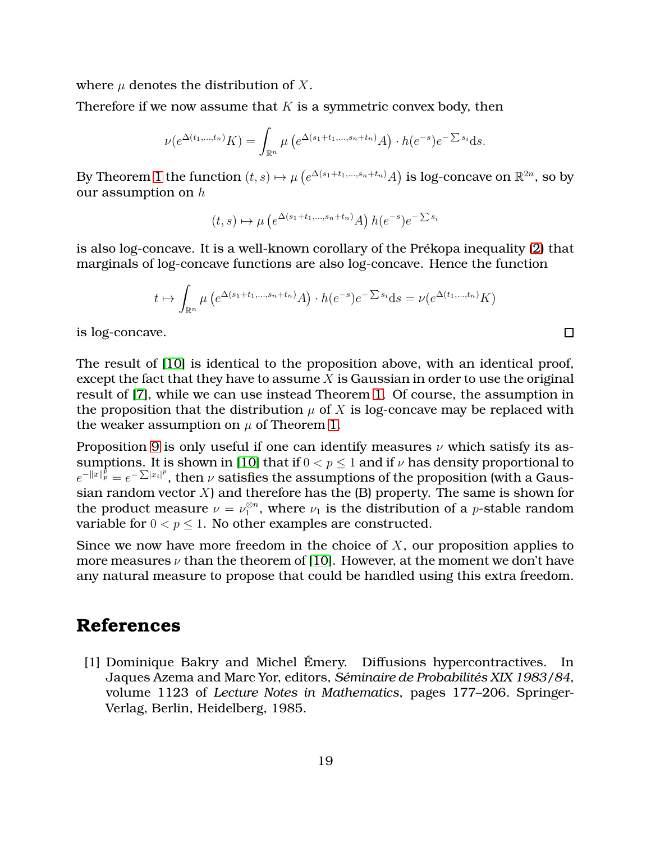where  $\mu$  denotes the distribution of X.

Therefore if we now assume that  $K$  is a symmetric convex body, then

$$
\nu(e^{\Delta(t_1,\dots,t_n)}K) = \int_{\mathbb{R}^n} \mu\left(e^{\Delta(s_1+t_1,\dots,s_n+t_n)}A\right) \cdot h(e^{-s})e^{-\sum s_i}ds.
$$

By Theorem [1](#page-2-1) the function  $(t,s)\mapsto\mu\left(e^{\Delta(s_1+t_1,...,s_n+t_n)}A\right)$  is log-concave on  $\mathbb{R}^{2n}$ , so by our assumption on  $h$ 

 $(t, s) \mapsto \mu\left(e^{\Delta(s_1+t_1,...,s_n+t_n)}A\right)h(e^{-s})e^{-\sum s_i}$ 

is also log-concave. It is a well-known corollary of the Prékopa inequality [\(2\)](#page-1-0) that marginals of log-concave functions are also log-concave. Hence the function

$$
t \mapsto \int_{\mathbb{R}^n} \mu\left(e^{\Delta(s_1+t_1,\dots,s_n+t_n)}A\right) \cdot h(e^{-s})e^{-\sum s_i} ds = \nu(e^{\Delta(t_1,\dots,t_n)}K)
$$

 $\Box$ 

is log-concave.

The result of [\[10\]](#page-19-3) is identical to the proposition above, with an identical proof, except the fact that they have to assume  $X$  is Gaussian in order to use the original result of [\[7\]](#page-19-0), while we can use instead Theorem [1.](#page-2-1) Of course, the assumption in the proposition that the distribution  $\mu$  of X is log-concave may be replaced with the weaker assumption on  $\mu$  of Theorem [1.](#page-2-1)

Proposition [9](#page-17-1) is only useful if one can identify measures  $\nu$  which satisfy its as-sumptions. It is shown in [\[10\]](#page-19-3) that if  $0 < p < 1$  and if  $\nu$  has density proportional to  $e^{-\|x\|_p^p} = e^{-\sum |x_i|^p}$ , then  $\nu$  satisfies the assumptions of the proposition (with a Gaussian random vector  $X$ ) and therefore has the (B) property. The same is shown for the product measure  $\nu = \nu_1^{\otimes n}$ , where  $\nu_1$  is the distribution of a *p*-stable random variable for  $0 < p \leq 1$ . No other examples are constructed.

Since we now have more freedom in the choice of  $X$ , our proposition applies to more measures  $\nu$  than the theorem of [\[10\]](#page-19-3). However, at the moment we don't have any natural measure to propose that could be handled using this extra freedom.

### <span id="page-18-0"></span>**References**

[1] Dominique Bakry and Michel Émery. Diffusions hypercontractives. In Jaques Azema and Marc Yor, editors, *Séminaire de Probabilités XIX 1983/84*, volume 1123 of *Lecture Notes in Mathematics*, pages 177–206. Springer-Verlag, Berlin, Heidelberg, 1985.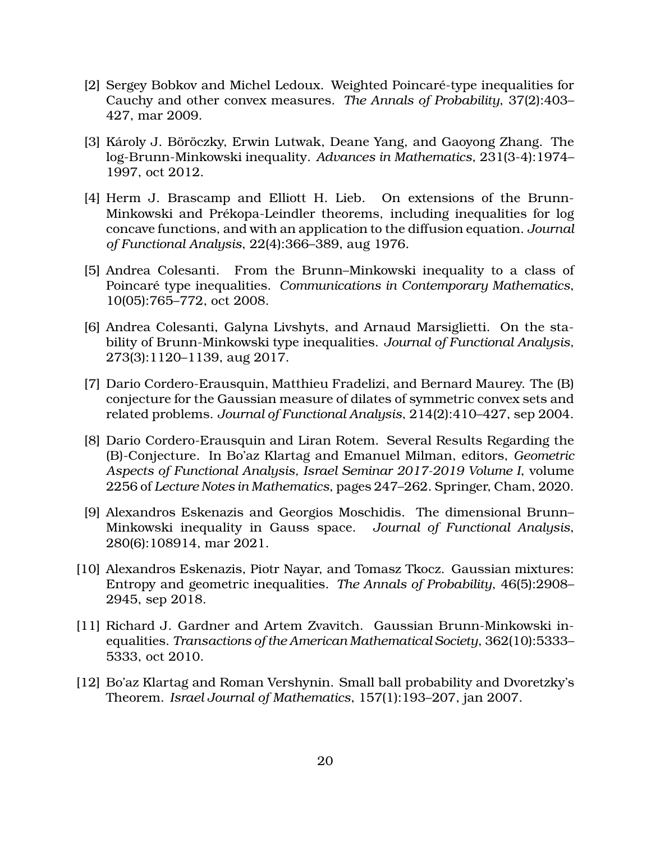- <span id="page-19-8"></span>[2] Sergey Bobkov and Michel Ledoux. Weighted Poincaré-type inequalities for Cauchy and other convex measures. *The Annals of Probability*, 37(2):403– 427, mar 2009.
- <span id="page-19-2"></span>[3] Károly J. Böröczky, Erwin Lutwak, Deane Yang, and Gaoyong Zhang. The log-Brunn-Minkowski inequality. *Advances in Mathematics*, 231(3-4):1974– 1997, oct 2012.
- <span id="page-19-9"></span>[4] Herm J. Brascamp and Elliott H. Lieb. On extensions of the Brunn-Minkowski and Prékopa-Leindler theorems, including inequalities for log concave functions, and with an application to the diffusion equation. *Journal of Functional Analysis*, 22(4):366–389, aug 1976.
- <span id="page-19-10"></span>[5] Andrea Colesanti. From the Brunn–Minkowski inequality to a class of Poincaré type inequalities. *Communications in Contemporary Mathematics*, 10(05):765–772, oct 2008.
- <span id="page-19-6"></span>[6] Andrea Colesanti, Galyna Livshyts, and Arnaud Marsiglietti. On the stability of Brunn-Minkowski type inequalities. *Journal of Functional Analysis*, 273(3):1120–1139, aug 2017.
- <span id="page-19-0"></span>[7] Dario Cordero-Erausquin, Matthieu Fradelizi, and Bernard Maurey. The (B) conjecture for the Gaussian measure of dilates of symmetric convex sets and related problems. *Journal of Functional Analysis*, 214(2):410–427, sep 2004.
- <span id="page-19-7"></span>[8] Dario Cordero-Erausquin and Liran Rotem. Several Results Regarding the (B)-Conjecture. In Bo'az Klartag and Emanuel Milman, editors, *Geometric Aspects of Functional Analysis, Israel Seminar 2017-2019 Volume I*, volume 2256 of *Lecture Notes in Mathematics*, pages 247–262. Springer, Cham, 2020.
- <span id="page-19-4"></span>[9] Alexandros Eskenazis and Georgios Moschidis. The dimensional Brunn– Minkowski inequality in Gauss space. *Journal of Functional Analysis*, 280(6):108914, mar 2021.
- <span id="page-19-3"></span>[10] Alexandros Eskenazis, Piotr Nayar, and Tomasz Tkocz. Gaussian mixtures: Entropy and geometric inequalities. *The Annals of Probability*, 46(5):2908– 2945, sep 2018.
- <span id="page-19-5"></span>[11] Richard J. Gardner and Artem Zvavitch. Gaussian Brunn-Minkowski inequalities. *Transactions of the American Mathematical Society*, 362(10):5333– 5333, oct 2010.
- <span id="page-19-1"></span>[12] Bo'az Klartag and Roman Vershynin. Small ball probability and Dvoretzky's Theorem. *Israel Journal of Mathematics*, 157(1):193–207, jan 2007.